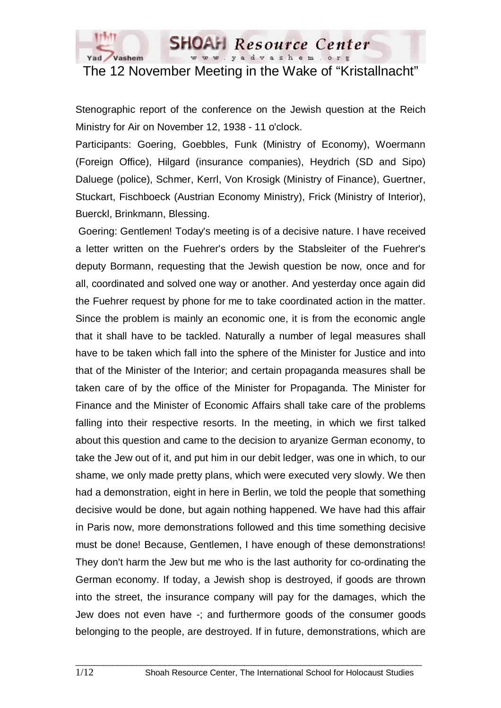

# The 12 November Meeting in the Wake of "Kristallnacht"

**SHOAH** Resource Center www.yadvashem.org

Stenographic report of the conference on the Jewish question at the Reich Ministry for Air on November 12, 1938 - 11 o'clock.

Participants: Goering, Goebbles, Funk (Ministry of Economy), Woermann (Foreign Office), Hilgard (insurance companies), Heydrich (SD and Sipo) Daluege (police), Schmer, Kerrl, Von Krosigk (Ministry of Finance), Guertner, Stuckart, Fischboeck (Austrian Economy Ministry), Frick (Ministry of Interior), Buerckl, Brinkmann, Blessing.

 Goering: Gentlemen! Today's meeting is of a decisive nature. I have received a letter written on the Fuehrer's orders by the Stabsleiter of the Fuehrer's deputy Bormann, requesting that the Jewish question be now, once and for all, coordinated and solved one way or another. And yesterday once again did the Fuehrer request by phone for me to take coordinated action in the matter. Since the problem is mainly an economic one, it is from the economic angle that it shall have to be tackled. Naturally a number of legal measures shall have to be taken which fall into the sphere of the Minister for Justice and into that of the Minister of the Interior; and certain propaganda measures shall be taken care of by the office of the Minister for Propaganda. The Minister for Finance and the Minister of Economic Affairs shall take care of the problems falling into their respective resorts. In the meeting, in which we first talked about this question and came to the decision to aryanize German economy, to take the Jew out of it, and put him in our debit ledger, was one in which, to our shame, we only made pretty plans, which were executed very slowly. We then had a demonstration, eight in here in Berlin, we told the people that something decisive would be done, but again nothing happened. We have had this affair in Paris now, more demonstrations followed and this time something decisive must be done! Because, Gentlemen, I have enough of these demonstrations! They don't harm the Jew but me who is the last authority for co-ordinating the German economy. If today, a Jewish shop is destroyed, if goods are thrown into the street, the insurance company will pay for the damages, which the Jew does not even have -; and furthermore goods of the consumer goods belonging to the people, are destroyed. If in future, demonstrations, which are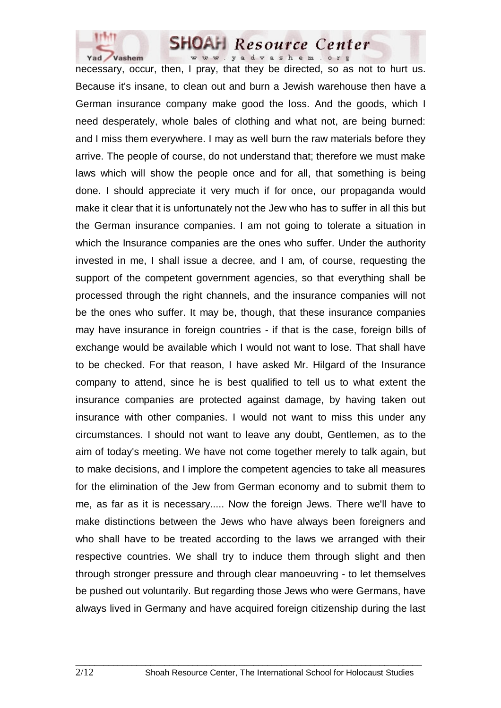

necessary, occur, then, I pray, that they be directed, so as not to hurt us. Because it's insane, to clean out and burn a Jewish warehouse then have a German insurance company make good the loss. And the goods, which I need desperately, whole bales of clothing and what not, are being burned: and I miss them everywhere. I may as well burn the raw materials before they arrive. The people of course, do not understand that; therefore we must make laws which will show the people once and for all, that something is being done. I should appreciate it very much if for once, our propaganda would make it clear that it is unfortunately not the Jew who has to suffer in all this but the German insurance companies. I am not going to tolerate a situation in which the Insurance companies are the ones who suffer. Under the authority invested in me, I shall issue a decree, and I am, of course, requesting the support of the competent government agencies, so that everything shall be processed through the right channels, and the insurance companies will not be the ones who suffer. It may be, though, that these insurance companies may have insurance in foreign countries - if that is the case, foreign bills of exchange would be available which I would not want to lose. That shall have to be checked. For that reason, I have asked Mr. Hilgard of the Insurance company to attend, since he is best qualified to tell us to what extent the insurance companies are protected against damage, by having taken out insurance with other companies. I would not want to miss this under any circumstances. I should not want to leave any doubt, Gentlemen, as to the aim of today's meeting. We have not come together merely to talk again, but to make decisions, and I implore the competent agencies to take all measures for the elimination of the Jew from German economy and to submit them to me, as far as it is necessary..... Now the foreign Jews. There we'll have to make distinctions between the Jews who have always been foreigners and who shall have to be treated according to the laws we arranged with their respective countries. We shall try to induce them through slight and then through stronger pressure and through clear manoeuvring - to let themselves be pushed out voluntarily. But regarding those Jews who were Germans, have always lived in Germany and have acquired foreign citizenship during the last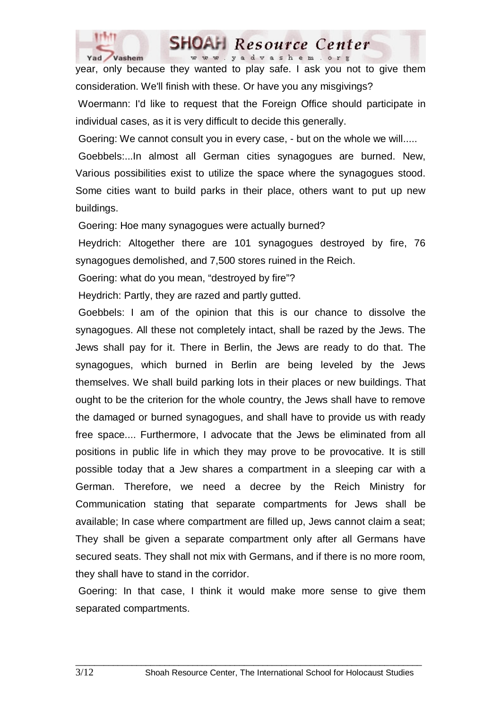

www.yadvashem.org year, only because they wanted to play safe. I ask you not to give them consideration. We'll finish with these. Or have you any misgivings?

Resource Center

 Woermann: I'd like to request that the Foreign Office should participate in individual cases, as it is very difficult to decide this generally.

Goering: We cannot consult you in every case, - but on the whole we will.....

 Goebbels:...In almost all German cities synagogues are burned. New, Various possibilities exist to utilize the space where the synagogues stood. Some cities want to build parks in their place, others want to put up new buildings.

Goering: Hoe many synagogues were actually burned?

 Heydrich: Altogether there are 101 synagogues destroyed by fire, 76 synagogues demolished, and 7,500 stores ruined in the Reich.

Goering: what do you mean, "destroyed by fire"?

Heydrich: Partly, they are razed and partly gutted.

 Goebbels: I am of the opinion that this is our chance to dissolve the synagogues. All these not completely intact, shall be razed by the Jews. The Jews shall pay for it. There in Berlin, the Jews are ready to do that. The synagogues, which burned in Berlin are being leveled by the Jews themselves. We shall build parking lots in their places or new buildings. That ought to be the criterion for the whole country, the Jews shall have to remove the damaged or burned synagogues, and shall have to provide us with ready free space.... Furthermore, I advocate that the Jews be eliminated from all positions in public life in which they may prove to be provocative. It is still possible today that a Jew shares a compartment in a sleeping car with a German. Therefore, we need a decree by the Reich Ministry for Communication stating that separate compartments for Jews shall be available; In case where compartment are filled up, Jews cannot claim a seat; They shall be given a separate compartment only after all Germans have secured seats. They shall not mix with Germans, and if there is no more room, they shall have to stand in the corridor.

 Goering: In that case, I think it would make more sense to give them separated compartments.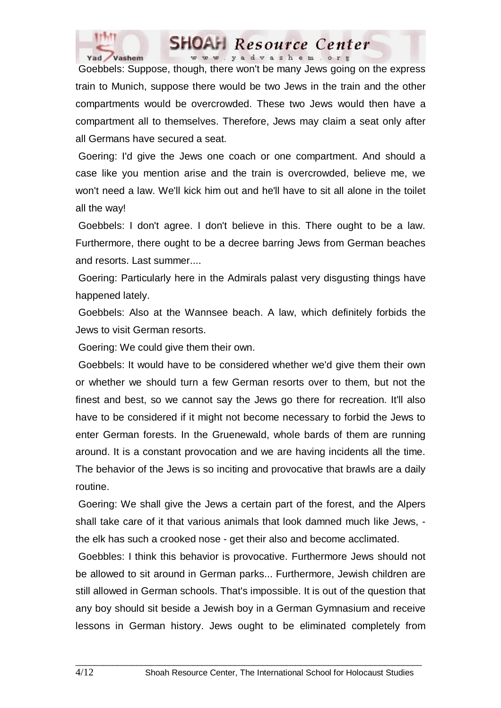

 Goebbels: Suppose, though, there won't be many Jews going on the express train to Munich, suppose there would be two Jews in the train and the other compartments would be overcrowded. These two Jews would then have a compartment all to themselves. Therefore, Jews may claim a seat only after all Germans have secured a seat.

 Goering: I'd give the Jews one coach or one compartment. And should a case like you mention arise and the train is overcrowded, believe me, we won't need a law. We'll kick him out and he'll have to sit all alone in the toilet all the way!

 Goebbels: I don't agree. I don't believe in this. There ought to be a law. Furthermore, there ought to be a decree barring Jews from German beaches and resorts. Last summer....

 Goering: Particularly here in the Admirals palast very disgusting things have happened lately.

 Goebbels: Also at the Wannsee beach. A law, which definitely forbids the Jews to visit German resorts.

Goering: We could give them their own.

 Goebbels: It would have to be considered whether we'd give them their own or whether we should turn a few German resorts over to them, but not the finest and best, so we cannot say the Jews go there for recreation. It'll also have to be considered if it might not become necessary to forbid the Jews to enter German forests. In the Gruenewald, whole bards of them are running around. It is a constant provocation and we are having incidents all the time. The behavior of the Jews is so inciting and provocative that brawls are a daily routine.

 Goering: We shall give the Jews a certain part of the forest, and the Alpers shall take care of it that various animals that look damned much like Jews, the elk has such a crooked nose - get their also and become acclimated.

 Goebbles: I think this behavior is provocative. Furthermore Jews should not be allowed to sit around in German parks... Furthermore, Jewish children are still allowed in German schools. That's impossible. It is out of the question that any boy should sit beside a Jewish boy in a German Gymnasium and receive lessons in German history. Jews ought to be eliminated completely from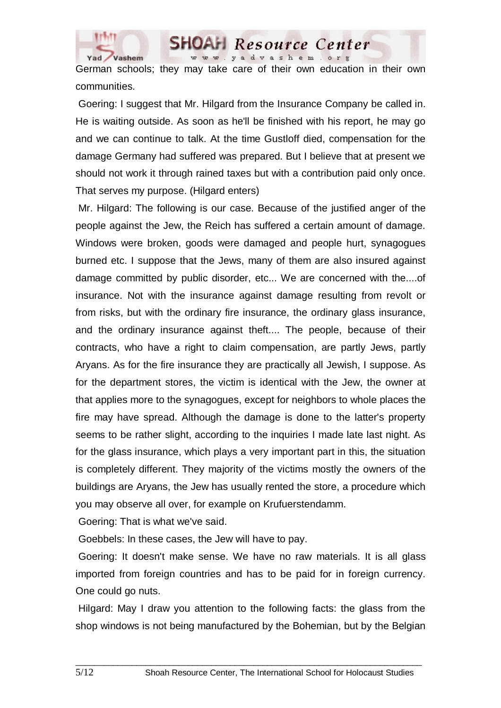

German schools; they may take care of their own education in their own communities.

**SHOAH** Resource Center www.yadvashem.org

 Goering: I suggest that Mr. Hilgard from the Insurance Company be called in. He is waiting outside. As soon as he'll be finished with his report, he may go and we can continue to talk. At the time Gustloff died, compensation for the damage Germany had suffered was prepared. But I believe that at present we should not work it through rained taxes but with a contribution paid only once. That serves my purpose. (Hilgard enters)

 Mr. Hilgard: The following is our case. Because of the justified anger of the people against the Jew, the Reich has suffered a certain amount of damage. Windows were broken, goods were damaged and people hurt, synagogues burned etc. I suppose that the Jews, many of them are also insured against damage committed by public disorder, etc... We are concerned with the....of insurance. Not with the insurance against damage resulting from revolt or from risks, but with the ordinary fire insurance, the ordinary glass insurance, and the ordinary insurance against theft.... The people, because of their contracts, who have a right to claim compensation, are partly Jews, partly Aryans. As for the fire insurance they are practically all Jewish, I suppose. As for the department stores, the victim is identical with the Jew, the owner at that applies more to the synagogues, except for neighbors to whole places the fire may have spread. Although the damage is done to the latter's property seems to be rather slight, according to the inquiries I made late last night. As for the glass insurance, which plays a very important part in this, the situation is completely different. They majority of the victims mostly the owners of the buildings are Aryans, the Jew has usually rented the store, a procedure which you may observe all over, for example on Krufuerstendamm.

Goering: That is what we've said.

Goebbels: In these cases, the Jew will have to pay.

 Goering: It doesn't make sense. We have no raw materials. It is all glass imported from foreign countries and has to be paid for in foreign currency. One could go nuts.

 Hilgard: May I draw you attention to the following facts: the glass from the shop windows is not being manufactured by the Bohemian, but by the Belgian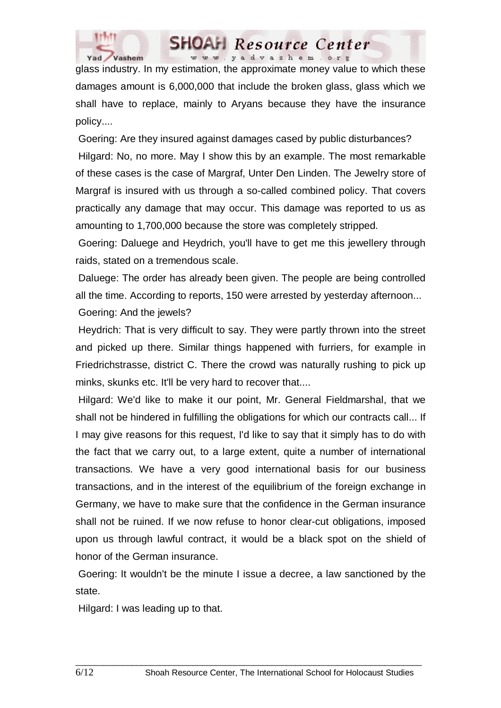

glass industry. In my estimation, the approximate money value to which these damages amount is 6,000,000 that include the broken glass, glass which we shall have to replace, mainly to Aryans because they have the insurance policy....

 Goering: Are they insured against damages cased by public disturbances? Hilgard: No, no more. May I show this by an example. The most remarkable of these cases is the case of Margraf, Unter Den Linden. The Jewelry store of Margraf is insured with us through a so-called combined policy. That covers practically any damage that may occur. This damage was reported to us as amounting to 1,700,000 because the store was completely stripped.

 Goering: Daluege and Heydrich, you'll have to get me this jewellery through raids, stated on a tremendous scale.

 Daluege: The order has already been given. The people are being controlled all the time. According to reports, 150 were arrested by yesterday afternoon...

Goering: And the jewels?

 Heydrich: That is very difficult to say. They were partly thrown into the street and picked up there. Similar things happened with furriers, for example in Friedrichstrasse, district C. There the crowd was naturally rushing to pick up minks, skunks etc. It'll be very hard to recover that....

 Hilgard: We'd like to make it our point, Mr. General Fieldmarshal, that we shall not be hindered in fulfilling the obligations for which our contracts call... If I may give reasons for this request, I'd like to say that it simply has to do with the fact that we carry out, to a large extent, quite a number of international transactions. We have a very good international basis for our business transactions, and in the interest of the equilibrium of the foreign exchange in Germany, we have to make sure that the confidence in the German insurance shall not be ruined. If we now refuse to honor clear-cut obligations, imposed upon us through lawful contract, it would be a black spot on the shield of honor of the German insurance.

 Goering: It wouldn't be the minute I issue a decree, a law sanctioned by the state.

 $\_$  ,  $\_$  ,  $\_$  ,  $\_$  ,  $\_$  ,  $\_$  ,  $\_$  ,  $\_$  ,  $\_$  ,  $\_$  ,  $\_$  ,  $\_$  ,  $\_$  ,  $\_$  ,  $\_$  ,  $\_$  ,  $\_$  ,  $\_$  ,  $\_$ 

Hilgard: I was leading up to that.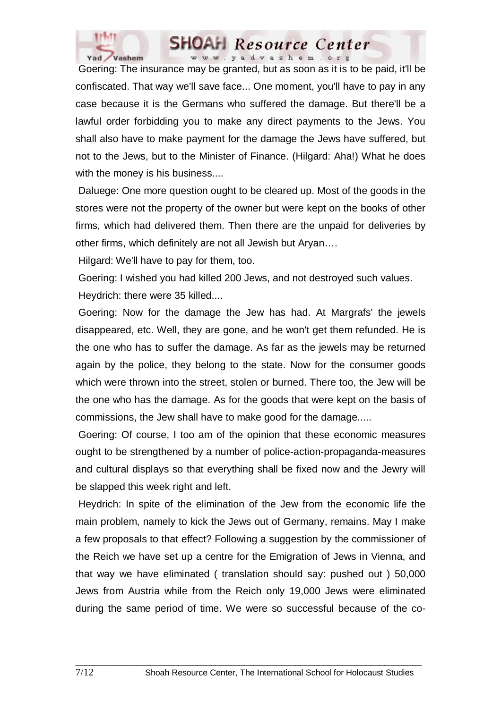

 Goering: The insurance may be granted, but as soon as it is to be paid, it'll be confiscated. That way we'll save face... One moment, you'll have to pay in any case because it is the Germans who suffered the damage. But there'll be a lawful order forbidding you to make any direct payments to the Jews. You shall also have to make payment for the damage the Jews have suffered, but not to the Jews, but to the Minister of Finance. (Hilgard: Aha!) What he does with the money is his business....

 Daluege: One more question ought to be cleared up. Most of the goods in the stores were not the property of the owner but were kept on the books of other firms, which had delivered them. Then there are the unpaid for deliveries by other firms, which definitely are not all Jewish but Aryan….

Hilgard: We'll have to pay for them, too.

 Goering: I wished you had killed 200 Jews, and not destroyed such values. Heydrich: there were 35 killed....

 Goering: Now for the damage the Jew has had. At Margrafs' the jewels disappeared, etc. Well, they are gone, and he won't get them refunded. He is the one who has to suffer the damage. As far as the jewels may be returned again by the police, they belong to the state. Now for the consumer goods which were thrown into the street, stolen or burned. There too, the Jew will be the one who has the damage. As for the goods that were kept on the basis of commissions, the Jew shall have to make good for the damage.....

 Goering: Of course, I too am of the opinion that these economic measures ought to be strengthened by a number of police-action-propaganda-measures and cultural displays so that everything shall be fixed now and the Jewry will be slapped this week right and left.

 Heydrich: In spite of the elimination of the Jew from the economic life the main problem, namely to kick the Jews out of Germany, remains. May I make a few proposals to that effect? Following a suggestion by the commissioner of the Reich we have set up a centre for the Emigration of Jews in Vienna, and that way we have eliminated ( translation should say: pushed out ) 50,000 Jews from Austria while from the Reich only 19,000 Jews were eliminated during the same period of time. We were so successful because of the co-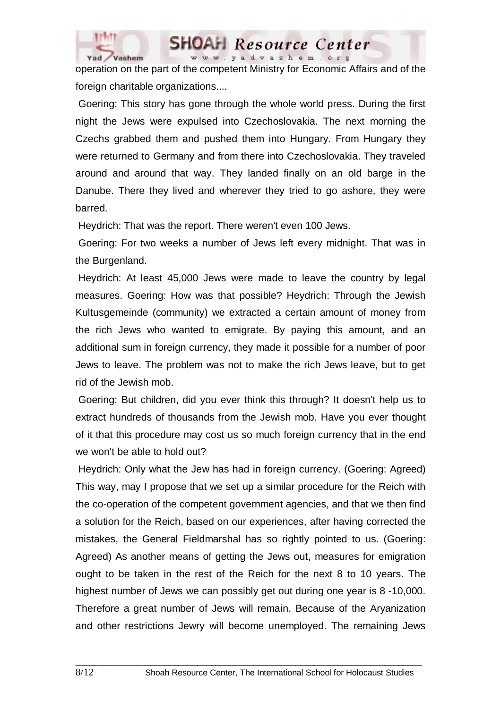

operation on the part of the competent Ministry for Economic Affairs and of the foreign charitable organizations....

www.yadvashem.org

Resource Center

 Goering: This story has gone through the whole world press. During the first night the Jews were expulsed into Czechoslovakia. The next morning the Czechs grabbed them and pushed them into Hungary. From Hungary they were returned to Germany and from there into Czechoslovakia. They traveled around and around that way. They landed finally on an old barge in the Danube. There they lived and wherever they tried to go ashore, they were barred.

Heydrich: That was the report. There weren't even 100 Jews.

 Goering: For two weeks a number of Jews left every midnight. That was in the Burgenland.

 Heydrich: At least 45,000 Jews were made to leave the country by legal measures. Goering: How was that possible? Heydrich: Through the Jewish Kultusgemeinde (community) we extracted a certain amount of money from the rich Jews who wanted to emigrate. By paying this amount, and an additional sum in foreign currency, they made it possible for a number of poor Jews to leave. The problem was not to make the rich Jews leave, but to get rid of the Jewish mob.

 Goering: But children, did you ever think this through? It doesn't help us to extract hundreds of thousands from the Jewish mob. Have you ever thought of it that this procedure may cost us so much foreign currency that in the end we won't be able to hold out?

 Heydrich: Only what the Jew has had in foreign currency. (Goering: Agreed) This way, may I propose that we set up a similar procedure for the Reich with the co-operation of the competent government agencies, and that we then find a solution for the Reich, based on our experiences, after having corrected the mistakes, the General Fieldmarshal has so rightly pointed to us. (Goering: Agreed) As another means of getting the Jews out, measures for emigration ought to be taken in the rest of the Reich for the next 8 to 10 years. The highest number of Jews we can possibly get out during one year is 8 -10,000. Therefore a great number of Jews will remain. Because of the Aryanization and other restrictions Jewry will become unemployed. The remaining Jews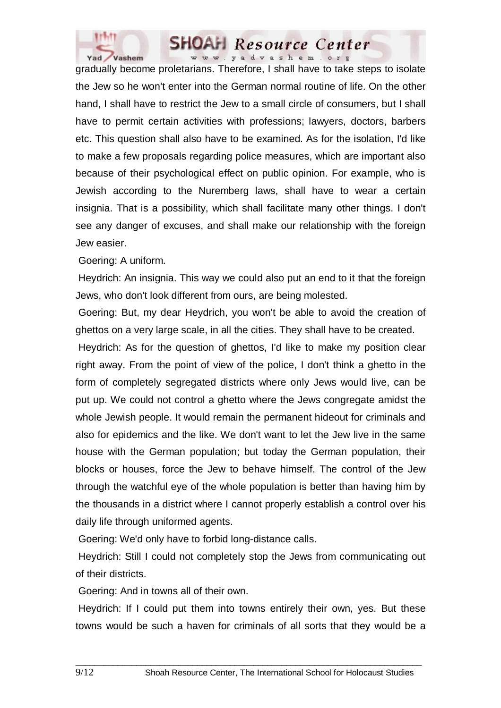

gradually become proletarians. Therefore, I shall have to take steps to isolate the Jew so he won't enter into the German normal routine of life. On the other hand, I shall have to restrict the Jew to a small circle of consumers, but I shall have to permit certain activities with professions; lawyers, doctors, barbers etc. This question shall also have to be examined. As for the isolation, I'd like to make a few proposals regarding police measures, which are important also because of their psychological effect on public opinion. For example, who is Jewish according to the Nuremberg laws, shall have to wear a certain insignia. That is a possibility, which shall facilitate many other things. I don't see any danger of excuses, and shall make our relationship with the foreign Jew easier.

Goering: A uniform.

 Heydrich: An insignia. This way we could also put an end to it that the foreign Jews, who don't look different from ours, are being molested.

 Goering: But, my dear Heydrich, you won't be able to avoid the creation of ghettos on a very large scale, in all the cities. They shall have to be created.

 Heydrich: As for the question of ghettos, I'd like to make my position clear right away. From the point of view of the police, I don't think a ghetto in the form of completely segregated districts where only Jews would live, can be put up. We could not control a ghetto where the Jews congregate amidst the whole Jewish people. It would remain the permanent hideout for criminals and also for epidemics and the like. We don't want to let the Jew live in the same house with the German population; but today the German population, their blocks or houses, force the Jew to behave himself. The control of the Jew through the watchful eye of the whole population is better than having him by the thousands in a district where I cannot properly establish a control over his daily life through uniformed agents.

Goering: We'd only have to forbid long-distance calls.

 Heydrich: Still I could not completely stop the Jews from communicating out of their districts.

Goering: And in towns all of their own.

 Heydrich: If I could put them into towns entirely their own, yes. But these towns would be such a haven for criminals of all sorts that they would be a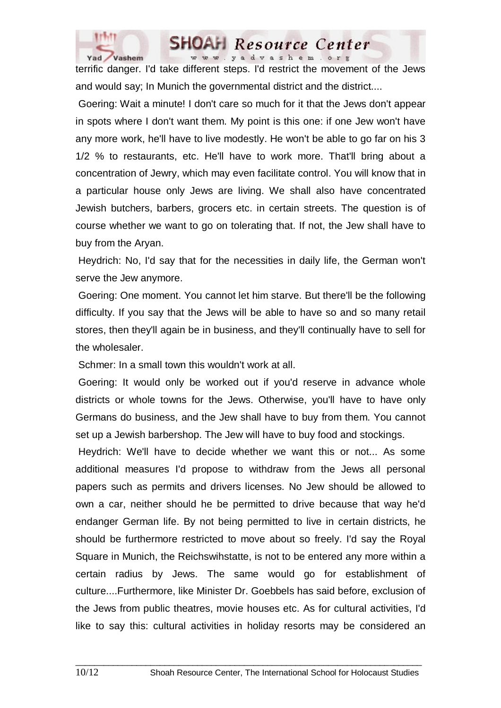



terrific danger. I'd take different steps. I'd restrict the movement of the Jews and would say; In Munich the governmental district and the district....

 Goering: Wait a minute! I don't care so much for it that the Jews don't appear in spots where I don't want them. My point is this one: if one Jew won't have any more work, he'll have to live modestly. He won't be able to go far on his 3 1/2 % to restaurants, etc. He'll have to work more. That'll bring about a concentration of Jewry, which may even facilitate control. You will know that in a particular house only Jews are living. We shall also have concentrated Jewish butchers, barbers, grocers etc. in certain streets. The question is of course whether we want to go on tolerating that. If not, the Jew shall have to buy from the Aryan.

 Heydrich: No, I'd say that for the necessities in daily life, the German won't serve the Jew anymore.

 Goering: One moment. You cannot let him starve. But there'll be the following difficulty. If you say that the Jews will be able to have so and so many retail stores, then they'll again be in business, and they'll continually have to sell for the wholesaler.

Schmer: In a small town this wouldn't work at all.

 Goering: It would only be worked out if you'd reserve in advance whole districts or whole towns for the Jews. Otherwise, you'll have to have only Germans do business, and the Jew shall have to buy from them. You cannot set up a Jewish barbershop. The Jew will have to buy food and stockings.

 Heydrich: We'll have to decide whether we want this or not... As some additional measures I'd propose to withdraw from the Jews all personal papers such as permits and drivers licenses. No Jew should be allowed to own a car, neither should he be permitted to drive because that way he'd endanger German life. By not being permitted to live in certain districts, he should be furthermore restricted to move about so freely. I'd say the Royal Square in Munich, the Reichswihstatte, is not to be entered any more within a certain radius by Jews. The same would go for establishment of culture....Furthermore, like Minister Dr. Goebbels has said before, exclusion of the Jews from public theatres, movie houses etc. As for cultural activities, I'd like to say this: cultural activities in holiday resorts may be considered an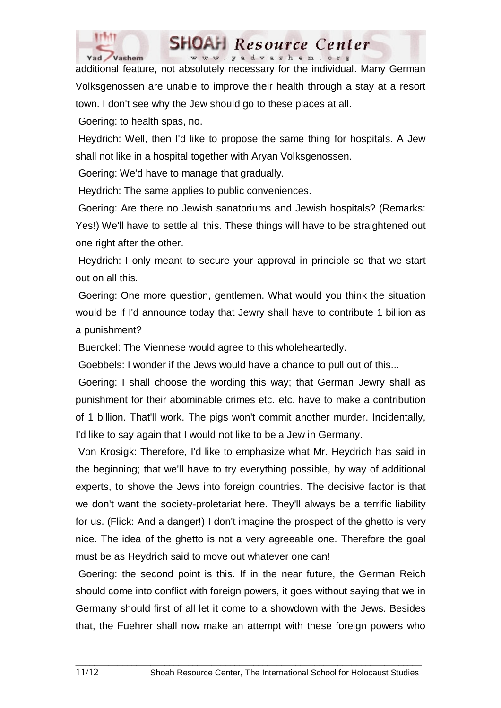

additional feature, not absolutely necessary for the individual. Many German Volksgenossen are unable to improve their health through a stay at a resort town. I don't see why the Jew should go to these places at all.

**SHOAH** Resource Center www.yadvashem.org

Goering: to health spas, no.

 Heydrich: Well, then I'd like to propose the same thing for hospitals. A Jew shall not like in a hospital together with Aryan Volksgenossen.

Goering: We'd have to manage that gradually.

Heydrich: The same applies to public conveniences.

 Goering: Are there no Jewish sanatoriums and Jewish hospitals? (Remarks: Yes!) We'll have to settle all this. These things will have to be straightened out one right after the other.

 Heydrich: I only meant to secure your approval in principle so that we start out on all this.

 Goering: One more question, gentlemen. What would you think the situation would be if I'd announce today that Jewry shall have to contribute 1 billion as a punishment?

Buerckel: The Viennese would agree to this wholeheartedly.

Goebbels: I wonder if the Jews would have a chance to pull out of this...

 Goering: I shall choose the wording this way; that German Jewry shall as punishment for their abominable crimes etc. etc. have to make a contribution of 1 billion. That'll work. The pigs won't commit another murder. Incidentally, I'd like to say again that I would not like to be a Jew in Germany.

 Von Krosigk: Therefore, I'd like to emphasize what Mr. Heydrich has said in the beginning; that we'll have to try everything possible, by way of additional experts, to shove the Jews into foreign countries. The decisive factor is that we don't want the society-proletariat here. They'll always be a terrific liability for us. (Flick: And a danger!) I don't imagine the prospect of the ghetto is very nice. The idea of the ghetto is not a very agreeable one. Therefore the goal must be as Heydrich said to move out whatever one can!

 Goering: the second point is this. If in the near future, the German Reich should come into conflict with foreign powers, it goes without saying that we in Germany should first of all let it come to a showdown with the Jews. Besides that, the Fuehrer shall now make an attempt with these foreign powers who